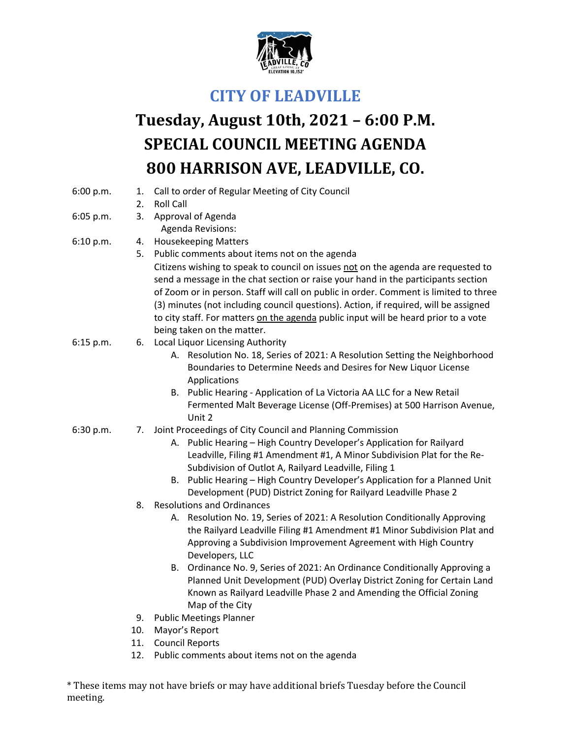

## **CITY OF LEADVILLE**

## **Tuesday, August 10th, 2021 – 6:00 P.M. SPECIAL COUNCIL MEETING AGENDA 800 HARRISON AVE, LEADVILLE, CO.**

| 6:00 p.m. | 1.  | Call to order of Regular Meeting of City Council                                                                                                                                                                                                                                                                                                                                                                                                                             |
|-----------|-----|------------------------------------------------------------------------------------------------------------------------------------------------------------------------------------------------------------------------------------------------------------------------------------------------------------------------------------------------------------------------------------------------------------------------------------------------------------------------------|
|           | 2.  | <b>Roll Call</b>                                                                                                                                                                                                                                                                                                                                                                                                                                                             |
| 6:05 p.m. | 3.  | Approval of Agenda<br>Agenda Revisions:                                                                                                                                                                                                                                                                                                                                                                                                                                      |
| 6:10 p.m. | 4.  | <b>Housekeeping Matters</b>                                                                                                                                                                                                                                                                                                                                                                                                                                                  |
|           | 5.  | Public comments about items not on the agenda                                                                                                                                                                                                                                                                                                                                                                                                                                |
|           |     | Citizens wishing to speak to council on issues not on the agenda are requested to<br>send a message in the chat section or raise your hand in the participants section<br>of Zoom or in person. Staff will call on public in order. Comment is limited to three<br>(3) minutes (not including council questions). Action, if required, will be assigned<br>to city staff. For matters on the agenda public input will be heard prior to a vote<br>being taken on the matter. |
| 6:15 p.m. | 6.  | Local Liquor Licensing Authority                                                                                                                                                                                                                                                                                                                                                                                                                                             |
|           |     | A. Resolution No. 18, Series of 2021: A Resolution Setting the Neighborhood<br>Boundaries to Determine Needs and Desires for New Liquor License<br>Applications                                                                                                                                                                                                                                                                                                              |
|           |     | B. Public Hearing - Application of La Victoria AA LLC for a New Retail                                                                                                                                                                                                                                                                                                                                                                                                       |
|           |     | Fermented Malt Beverage License (Off-Premises) at 500 Harrison Avenue,<br>Unit 2                                                                                                                                                                                                                                                                                                                                                                                             |
| 6:30 p.m. | 7.  | Joint Proceedings of City Council and Planning Commission                                                                                                                                                                                                                                                                                                                                                                                                                    |
|           |     | A. Public Hearing - High Country Developer's Application for Railyard<br>Leadville, Filing #1 Amendment #1, A Minor Subdivision Plat for the Re-<br>Subdivision of Outlot A, Railyard Leadville, Filing 1                                                                                                                                                                                                                                                                    |
|           |     | B. Public Hearing - High Country Developer's Application for a Planned Unit<br>Development (PUD) District Zoning for Railyard Leadville Phase 2                                                                                                                                                                                                                                                                                                                              |
|           | 8.  | <b>Resolutions and Ordinances</b>                                                                                                                                                                                                                                                                                                                                                                                                                                            |
|           |     | A. Resolution No. 19, Series of 2021: A Resolution Conditionally Approving<br>the Railyard Leadville Filing #1 Amendment #1 Minor Subdivision Plat and<br>Approving a Subdivision Improvement Agreement with High Country<br>Developers, LLC                                                                                                                                                                                                                                 |
|           |     | B. Ordinance No. 9, Series of 2021: An Ordinance Conditionally Approving a<br>Planned Unit Development (PUD) Overlay District Zoning for Certain Land<br>Known as Railyard Leadville Phase 2 and Amending the Official Zoning<br>Map of the City                                                                                                                                                                                                                             |
|           | 9.  | <b>Public Meetings Planner</b>                                                                                                                                                                                                                                                                                                                                                                                                                                               |
|           | 10. | Mayor's Report                                                                                                                                                                                                                                                                                                                                                                                                                                                               |
|           | 11. | <b>Council Reports</b>                                                                                                                                                                                                                                                                                                                                                                                                                                                       |
|           | 12. | Public comments about items not on the agenda                                                                                                                                                                                                                                                                                                                                                                                                                                |

\* These items may not have briefs or may have additional briefs Tuesday before the Council meeting.